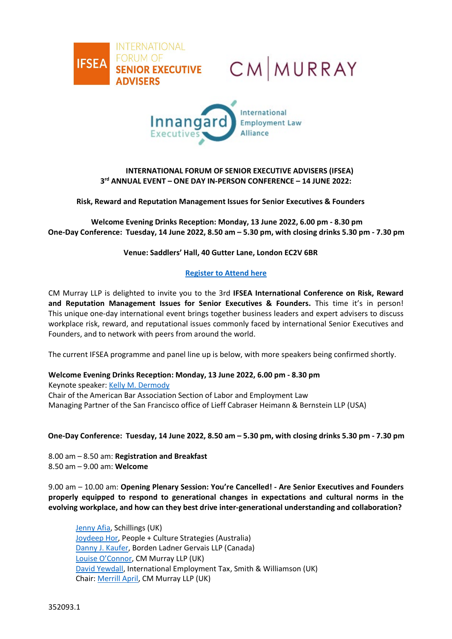





# **INTERNATIONAL FORUM OF SENIOR EXECUTIVE ADVISERS (IFSEA) 3rd ANNUAL EVENT – ONE DAY IN-PERSON CONFERENCE – 14 JUNE 2022:**

**Risk, Reward and Reputation Management Issues for Senior Executives & Founders**

**Welcome Evening Drinks Reception: Monday, 13 June 2022, 6.00 pm - 8.30 pm One-Day Conference: Tuesday, 14 June 2022, 8.50 am – 5.30 pm, with closing drinks 5.30 pm - 7.30 pm**

**Venue: Saddlers' Hall, 40 Gutter Lane, London EC2V 6BR**

## **[Register to Attend here](https://www.cm-murray.com/wp-content/uploads/2022/01/Registration-Form_IFSEA-2022-Conference_FINAL_310122-1.pdf)**

CM Murray LLP is delighted to invite you to the 3rd **IFSEA International Conference on Risk, Reward and Reputation Management Issues for Senior Executives & Founders.** This time it's in person! This unique one-day international event brings together business leaders and expert advisers to discuss workplace risk, reward, and reputational issues commonly faced by international Senior Executives and Founders, and to network with peers from around the world.

The current IFSEA programme and panel line up is below, with more speakers being confirmed shortly.

### **Welcome Evening Drinks Reception: Monday, 13 June 2022, 6.00 pm - 8.30 pm**

Keynote speaker: [Kelly M. Dermody](https://www.lieffcabraser.com/attorneys/kelly-m-dermody/) Chair of the American Bar Association Section of Labor and Employment Law Managing Partner of the San Francisco office of Lieff Cabraser Heimann & Bernstein LLP (USA)

### **One-Day Conference: Tuesday, 14 June 2022, 8.50 am – 5.30 pm, with closing drinks 5.30 pm - 7.30 pm**

8.00 am – 8.50 am: **Registration and Breakfast** 8.50 am – 9.00 am: **Welcome** 

9.00 am – 10.00 am: **Opening Plenary Session: You're Cancelled! - Are Senior Executives and Founders properly equipped to respond to generational changes in expectations and cultural norms in the evolving workplace, and how can they best drive inter-generational understanding and collaboration?**

[Jenny Afia,](https://www.schillingspartners.com/team-member/jenny-afia/) Schillings (UK) [Joydeep Hor,](https://www.peopleculture.com.au/leadership/#joydeep-hor) People + Culture Strategies (Australia) [Danny J. Kaufer,](https://www.blg.com/en/people/k/kaufer-danny) Borden Ladner Gervais LLP (Canada) [Louise O'Connor,](https://www.cm-murray.com/people/louise-oconnor/) CM Murray LLP (UK) [David Yewdall,](https://smithandwilliamson.com/en/our-people/david-yewdall/) International Employment Tax, Smith & Williamson (UK) Chair: [Merrill April,](https://www.cm-murray.com/people/merrill-april/) CM Murray LLP (UK)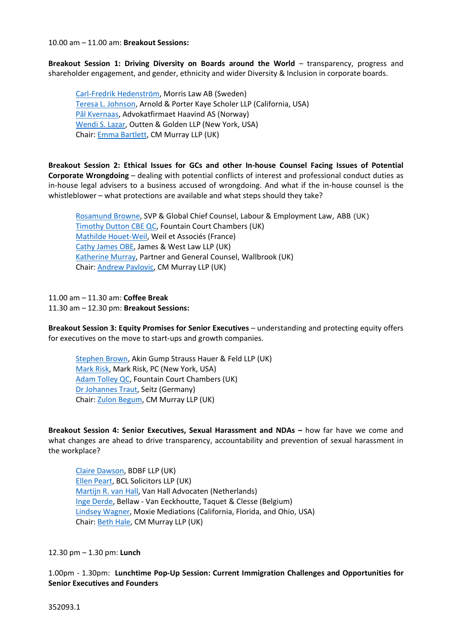10.00 am – 11.00 am: **Breakout Sessions:**

**Breakout Session 1: Driving Diversity on Boards around the World** – transparency, progress and shareholder engagement, and gender, ethnicity and wider Diversity & Inclusion in corporate boards.

[Carl-Fredrik Hedenström,](https://se.linkedin.com/in/carl-fredrik-hedenstr%C3%B6m) Morris Law AB (Sweden) Teresa L. [Johnson,](https://www.arnoldporter.com/en/people/j/johnson-teresa-l) Arnold & Porter Kaye Scholer LLP (California, USA) [Pål Kvernaas,](https://haavind.no/en/people/pal-kvernaas/) Advokatfirmaet Haavind AS (Norway) [Wendi](https://www.outtengolden.com/lawyer-attorney/wendi-s-lazar) S. Lazar, Outten & Golden LLP (New York, USA) Chair: [Emma Bartlett,](https://www.cm-murray.com/people/emma-bartlett/) CM Murray LLP (UK)

**Breakout Session 2: Ethical Issues for GCs and other In-house Counsel Facing Issues of Potential Corporate Wrongdoing** – dealing with potential conflicts of interest and professional conduct duties as in-house legal advisers to a business accused of wrongdoing. And what if the in-house counsel is the whistleblower – what protections are available and what steps should they take?

[Rosamund Browne,](https://uk.linkedin.com/in/rosamund-browne-94045674) SVP & Global Chief Counsel, Labour & Employment Law, ABB (UK) Timothy [Dutton CBE QC,](https://www.fountaincourt.co.uk/people/timothy-dutton/) Fountain Court Chambers (UK) [Mathilde Houet-Weil,](https://www.weil-paris.fr/php/en/mathilde-weil-en.php) Weil et Associés (France) [Cathy James OBE,](https://jamesandwest.co.uk/cathy-james/) James & West Law LLP (UK) [Katherine Murray,](https://www.wallbrook.com/katherine-murray) Partner and General Counsel, Wallbrook (UK) Chair: [Andrew Pavlovic,](https://www.cm-murray.com/people/andrew-pavlovic/) CM Murray LLP (UK)

11.00 am – 11.30 am: **Coffee Break** 11.30 am – 12.30 pm: **Breakout Sessions:**

**Breakout Session 3: Equity Promises for Senior Executives** – understanding and protecting equity offers for executives on the move to start-ups and growth companies.

[Stephen Brown,](https://www.akingump.com/en/lawyers-advisors/stephen-brown.html) Akin Gump Strauss Hauer & Feld LLP (UK) [Mark Risk,](https://www.markrisk.com/) Mark Risk, PC (New York, USA) [Adam Tolley QC,](https://www.fountaincourt.co.uk/people/adam-tolley/) Fountain Court Chambers (UK) [Dr Johannes Traut,](https://www.seitzpartner.com/team/johannes-traut) Seitz (Germany) Chair: [Zulon Begum,](https://www.cm-murray.com/people/zulonbegum/) CM Murray LLP (UK)

**Breakout Session 4: Senior Executives, Sexual Harassment and NDAs –** how far have we come and what changes are ahead to drive transparency, accountability and prevention of sexual harassment in the workplace?

[Claire Dawson,](https://www.bdbf.co.uk/the-team/claire-dawson/) BDBF LLP (UK) [Ellen Peart,](https://www.bcl.com/our-people/ellen-peart/) BCL Solicitors LLP (UK) [Martijn R. van Hall,](https://www.vanhallarbeidsrecht.nl/team/martijn-van-hall) Van Hall Advocaten (Netherlands) [Inge Derde,](https://bellaw.be/van-eeckhoutte/en/team/inge-derde) Bellaw - Van Eeckhoutte, Taquet & Clesse (Belgium) [Lindsey Wagner,](https://www.floridalaborlawyer.com/meet-the-team/lindsey-wagner/) Moxie Mediations (California, Florida, and Ohio, USA) Chair: [Beth Hale,](https://www.cm-murray.com/people/beth-hale/) CM Murray LLP (UK)

12.30 pm – 1.30 pm: **Lunch**

1.00pm - 1.30pm: **Lunchtime Pop-Up Session: Current Immigration Challenges and Opportunities for Senior Executives and Founders**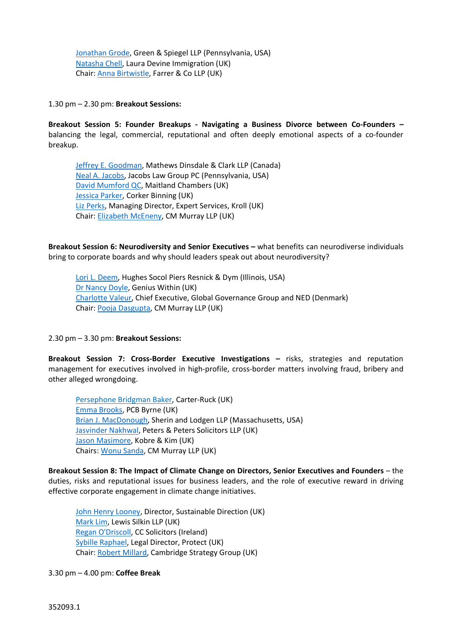[Jonathan Grode,](https://www.gands.com/en-us/team/jonathan-grode/) Green & Spiegel LLP (Pennsylvania, USA) [Natasha Chell,](https://www.lauradevine.com/london-office/natasha-chell/) Laura Devine Immigration (UK) Chair: [Anna Birtwistle,](https://www.farrer.co.uk/people/anna-birtwistle/) Farrer & Co LLP (UK)

1.30 pm – 2.30 pm: **Breakout Sessions:**

**Breakout Session 5: Founder Breakups - Navigating a Business Divorce between Co-Founders –** balancing the legal, commercial, reputational and often deeply emotional aspects of a co-founder breakup.

[Jeffrey E. Goodman,](https://mathewsdinsdale.com/our-team/jeffrey-e-goodman/) Mathews Dinsdale & Clark LLP (Canada) [Neal A. Jacobs,](https://www.jacobslawpc.com/staff/business-divorce-attorney/) Jacobs Law Group PC (Pennsylvania, USA) [David Mumford QC,](https://www.maitlandchambers.com/our-people/barristers/queens-counsel/david-mumford) Maitland Chambers (UK) [Jessica Parker,](https://corkerbinning.com/people/jessica-parker/) Corker Binning (UK) Liz [Perks,](https://www.kroll.com/en/our-team/liz-perks) Managing Director, Expert Services, Kroll (UK) Chair: [Elizabeth McEneny,](https://www.cm-murray.com/people/elizabeth-mceneny/) CM Murray LLP (UK)

**Breakout Session 6: Neurodiversity and Senior Executives –** what benefits can neurodiverse individuals bring to corporate boards and why should leaders speak out about neurodiversity?

[Lori L. Deem,](https://hsplegal.com/attorneys/lori-l-deem/) Hughes Socol Piers Resnick & Dym (Illinois, USA) [Dr Nancy Doyle,](https://www.geniuswithin.org/our-team/dr-nancy-doyle/) Genius Within (UK) [Charlotte Valeur,](https://www.global-governance-group.com/about-us/charlotte-valeur/) Chief Executive, Global Governance Group and NED (Denmark) Chair: [Pooja Dasgupta,](https://www.cm-murray.com/people/pooja-dasgupta/) CM Murray LLP (UK)

2.30 pm – 3.30 pm: **Breakout Sessions:**

**Breakout Session 7: Cross-Border Executive Investigations –** risks, strategies and reputation management for executives involved in high-profile, cross-border matters involving fraud, bribery and other alleged wrongdoing.

[Persephone Bridgman Baker,](https://www.carter-ruck.com/lawyers/persephone-bridgman-baker/) Carter-Ruck (UK) Emma Brooks, PCB Byrne (UK) [Brian J. MacDonough,](https://www.sherin.com/attorneys/brian-j-macdonough/) Sherin and Lodgen LLP (Massachusetts, USA) [Jasvinder Nakhwal,](https://www.petersandpeters.com/lawyer/jasvinder-nakhwal/) Peters & Peters Solicitors LLP (UK) [Jason Masimore,](https://kobrekim.com/people/jason-a-masimore) Kobre & Kim (UK) Chairs: [Wonu Sanda,](https://www.cm-murray.com/people/wonu-sanda/) CM Murray LLP (UK)

**Breakout Session 8: The Impact of Climate Change on Directors, Senior Executives and Founders** – the duties, risks and reputational issues for business leaders, and the role of executive reward in driving effective corporate engagement in climate change initiatives.

[John Henry](https://www.sustainabledirection.com/) Looney, Director, Sustainable Direction (UK) [Mark Lim,](https://www.lewissilkin.com/en/people/mark-lim) Lewis Silkin LLP (UK) [Regan O'Driscoll,](https://www.ccsolicitors.ie/our-team) CC Solicitors (Ireland) [Sybille Raphael,](https://protect-advice.org.uk/people/) Legal Director, Protect (UK) Chair: [Robert Millard,](https://www.camstrategy.com/our-partners/robert-millard/) Cambridge Strategy Group (UK)

3.30 pm – 4.00 pm: **Coffee Break**